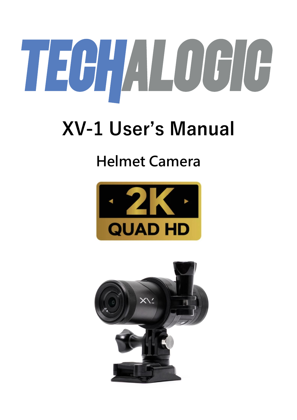# TEGILOGIE

# **XV-1 User's Manual**

# **Helmet Camera**



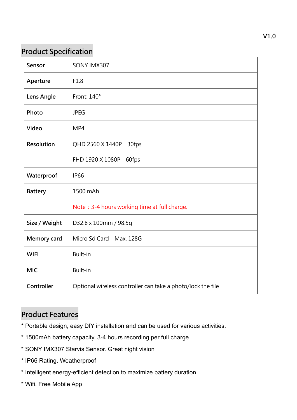## **Product Specification**

| Sensor         | SONY IMX307                                                 |
|----------------|-------------------------------------------------------------|
| Aperture       | F1.8                                                        |
| Lens Angle     | Front: 140°                                                 |
| Photo          | <b>JPEG</b>                                                 |
| Video          | MP4                                                         |
| Resolution     | QHD 2560 X 1440P<br>30fps                                   |
|                | FHD 1920 X 1080P<br>60fps                                   |
| Waterproof     | <b>IP66</b>                                                 |
| <b>Battery</b> | 1500 mAh                                                    |
|                | Note: 3-4 hours working time at full charge.                |
| Size / Weight  | D32.8 x 100mm / 98.5g                                       |
| Memory card    | Micro Sd Card Max. 128G                                     |
| <b>WIFI</b>    | Built-in                                                    |
| <b>MIC</b>     | Built-in                                                    |
| Controller     | Optional wireless controller can take a photo/lock the file |

### **Product Features**

- \* Portable design, easy DIY installation and can be used for various activities.
- \* 1500mAh battery capacity. 3-4 hours recording per full charge
- \* SONY IMX307 Starvis Sensor. Great night vision
- \* IP66 Rating. Weatherproof
- \* Intelligent energy-efficient detection to maximize battery duration
- \* Wifi. Free Mobile App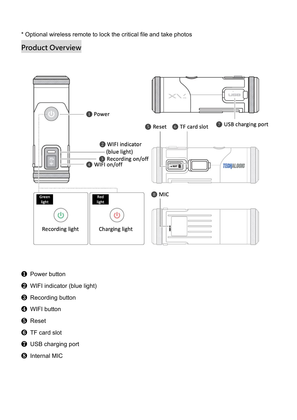\* Optional wireless remote to lock the critical file and take photos

# **Product Overview**



- ❶ Power button
- ❷ WIFI indicator (blue light)
- **<sup>8</sup>** Recording button
- **<sup>4</sup>** WIFI button
- ❺ Reset
- **<sup>6</sup>** TF card slot
- ❼ USB charging port
- ❽ Internal MIC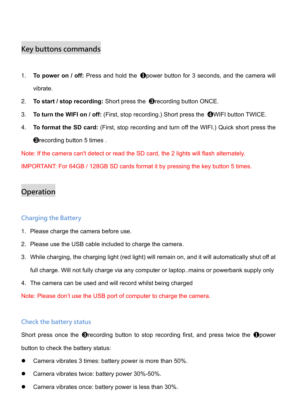#### **Key buttons commands**

- 1. **To power on / off:** Press and hold the ❶power button for 3 seconds, and the camera will vibrate.
- 2. **To start / stop recording:** Short press the ❸recording button ONCE.
- 3. **To turn the WIFI on / off:** (First, stop recording.) Short press the ❹WIFI button TWICE.
- 4. **To format the SD card:** (First, stop recording and turn off the WIFI.) Quick short press the **@**recording button 5 times.

Note: If the camera can't detect or read the SD card, the 2 lights will flash alternately.

IMPORTANT: For 64GB / 128GB SD cards format it by pressing the key button 5 times.

## **Operation**

#### **Charging the Battery**

- 1. Please charge the camera before use.
- 2. Please use the USB cable included to charge the camera.
- 3. While charging, the charging light (red light) will remain on, and it will automatically shut off at full charge. Will not fully charge via any computer or laptop..mains or powerbank supply only
- 4. The camera can be used and will record whilst being charged

Note: Please don't use the USB port of computer to charge the camera.

#### **Check the battery status**

Short press once the **③**recording button to stop recording first, and press twice the **①**power button to check the battery status:

- ⚫ Camera vibrates 3 times: battery power is more than 50%.
- ⚫ Camera vibrates twice: battery power 30%-50%.
- ⚫ Camera vibrates once: battery power is less than 30%.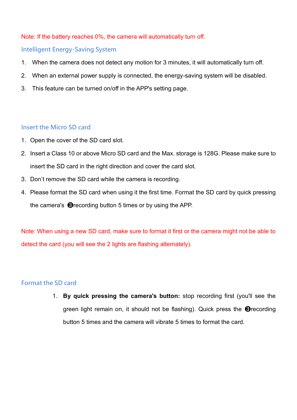#### Note: If the battery reaches 0%, the camera will automatically turn off.

#### **Intelligent Energy-Saving System**

- 1. When the camera does not detect any motion for 3 minutes, it will automatically turn off.
- 2. When an external power supply is connected, the energy-saving system will be disabled.
- 3. This feature can be turned on/off in the APP's setting page.

#### **Insert the Micro SD card**

- 1. Open the cover of the SD card slot.
- 2. Insert a Class 10 or above Micro SD card and the Max. storage is 128G. Please make sure to insert the SD card in the right direction and cover the card slot.
- 3. Don't remove the SD card while the camera is recording.
- 4. Please format the SD card when using it the first time. Format the SD card by quick pressing the camera's ❸recording button 5 times or by using the APP.

Note: When using a new SD card, make sure to format it first or the camera might not be able to detect the card (you will see the 2 lights are flashing alternately).

#### **Format the SD card**

1. **By quick pressing the camera's button:** stop recording first (you'll see the green light remain on, it should not be flashing). Quick press the ❸recording button 5 times and the camera will vibrate 5 times to format the card.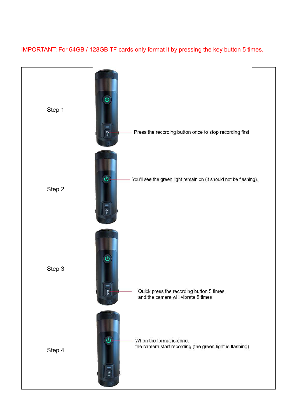#### IMPORTANT: For 64GB / 128GB TF cards only format it by pressing the key button 5 times.

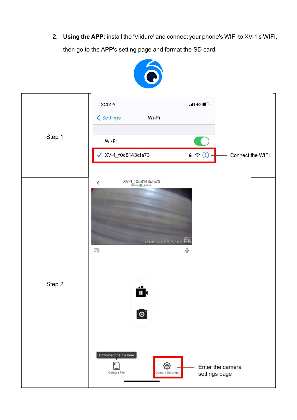2. **Using the APP:** install the 'Viidure' and connect your phone's WIFI to XV-1's WIFI, then go to the APP's setting page and format the SD card.

|        | Ó                                                                                                                          |
|--------|----------------------------------------------------------------------------------------------------------------------------|
|        | 2:427<br>$nII$ 4G $\blacksquare$<br><b>く</b> Settings<br>Wi-Fi                                                             |
| Step 1 | Wi-Fi<br>XV-1_f0c8143cfa73<br>$A \nbrace \Omega$<br>Connect the WIFI                                                       |
|        |                                                                                                                            |
|        | $XV-1_{\overline{\text{Middle}}\text{ID}}$ 64%<br>$\acute{}$<br>LOOKING XV-1 2021 09 24 14<br>$\mathbb Q$<br>$\frac{5}{2}$ |
| Step 2 | Ö۰                                                                                                                         |
|        | $\bar{\bullet}$                                                                                                            |
|        | Download the file here<br>н<br>௵<br>Enter the camera<br>Camera Settings<br>Camera File<br>settings page                    |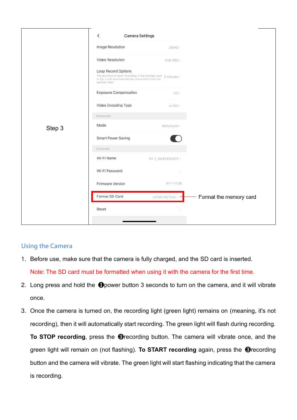|        | $\overline{\phantom{0}}$<br><b>Camera Settings</b>                                                                                                                      |                      |                        |
|--------|-------------------------------------------------------------------------------------------------------------------------------------------------------------------------|----------------------|------------------------|
|        | Image Resolution                                                                                                                                                        | 2MHD >               |                        |
|        | Video Resolution                                                                                                                                                        | FHD P60 >            |                        |
|        | Loop Record Options<br>The duration of each recording, if the storage card $\,$ 3 minutes $\,$ is full, it will automatically be overwritten from the<br>earliest video |                      |                        |
|        | <b>Exposure Compensation</b>                                                                                                                                            | $0.0$ >              |                        |
|        | Video Encoding Type                                                                                                                                                     | H.265                |                        |
|        | Advanced                                                                                                                                                                |                      |                        |
| Step 3 | Mode                                                                                                                                                                    | Motorcycle >         |                        |
|        | Smart Power Saving                                                                                                                                                      |                      |                        |
|        | Universal                                                                                                                                                               |                      |                        |
|        | Wi-Fi Name                                                                                                                                                              | XV-1_f0c8143cfa73 >  |                        |
|        | Wi-Fi Password                                                                                                                                                          |                      |                        |
|        | Firmware Version                                                                                                                                                        | XV-1 V1.06           |                        |
|        | Format SD Card                                                                                                                                                          | Left28.3G/Total -- > | Format the memory card |
|        | Reset                                                                                                                                                                   |                      |                        |
|        |                                                                                                                                                                         |                      |                        |

#### **Using the Camera**

- 1. Before use, make sure that the camera is fully charged, and the SD card is inserted. Note: The SD card must be formatted when using it with the camera for the first time.
- 2. Long press and hold the ❶power button 3 seconds to turn on the camera, and it will vibrate once.
- 3. Once the camera is turned on, the recording light (green light) remains on (meaning, it's not recording), then it will automatically start recording. The green light will flash during recording. **To STOP recording**, press the ❸recording button. The camera will vibrate once, and the green light will remain on (not flashing). **To START recording** again, press the ❸recording button and the camera will vibrate. The green light will start flashing indicating that the camera is recording.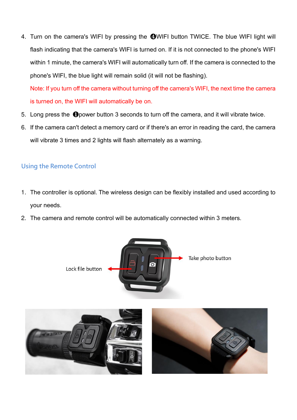4. Turn on the camera's WIFI by pressing the **@WIFI button TWICE.** The blue WIFI light will flash indicating that the camera's WIFI is turned on. If it is not connected to the phone's WIFI within 1 minute, the camera's WIFI will automatically turn off. If the camera is connected to the phone's WIFI, the blue light will remain solid (it will not be flashing).

Note: If you turn off the camera without turning off the camera's WIFI, the next time the camera is turned on, the WIFI will automatically be on.

- 5. Long press the **O**power button 3 seconds to turn off the camera, and it will vibrate twice.
- 6. If the camera can't detect a memory card or if there's an error in reading the card, the camera will vibrate 3 times and 2 lights will flash alternately as a warning.

#### **Using the Remote Control**

- 1. The controller is optional. The wireless design can be flexibly installed and used according to your needs.
- 2. The camera and remote control will be automatically connected within 3 meters.

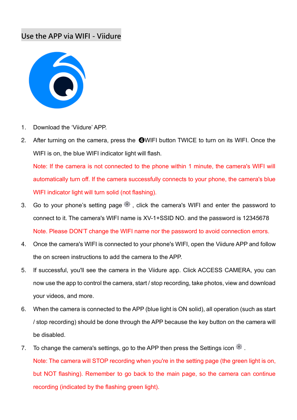#### **Use the APP via WIFI - Viidure**



- 1. Download the 'Viidure' APP.
- 2. After turning on the camera, press the **@WIFI** button TWICE to turn on its WIFI. Once the WIFI is on, the blue WIFI indicator light will flash.

Note: If the camera is not connected to the phone within 1 minute, the camera's WIFI will automatically turn off. If the camera successfully connects to your phone, the camera's blue WIFI indicator light will turn solid (not flashing).

- 3. Go to your phone's setting page  $\mathbb{S}$ , click the camera's WIFI and enter the password to connect to it. The camera's WIFI name is XV-1+SSID NO. and the password is 12345678 Note. Please DON'T change the WIFI name nor the password to avoid connection errors.
- 4. Once the camera's WIFI is connected to your phone's WIFI, open the Viidure APP and follow the on screen instructions to add the camera to the APP.
- 5. If successful, you'll see the camera in the Viidure app. Click ACCESS CAMERA, you can now use the app to control the camera, start / stop recording, take photos, view and download your videos, and more.
- 6. When the camera is connected to the APP (blue light is ON solid), all operation (such as start / stop recording) should be done through the APP because the key button on the camera will be disabled.
- 7. To change the camera's settings, go to the APP then press the Settings icon . Note: The camera will STOP recording when you're in the setting page (the green light is on, but NOT flashing). Remember to go back to the main page, so the camera can continue recording (indicated by the flashing green light).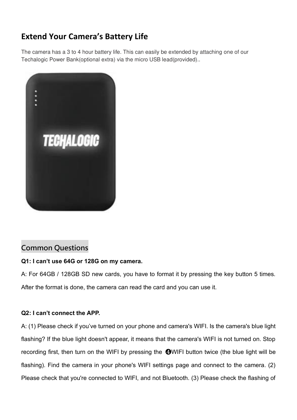# **Extend Your Camera's Battery Life**

The camera has a 3 to 4 hour battery life. This can easily be extended by attaching one of our Techalogic Power Bank(optional extra) via the micro USB lead(provided)..



## **Common Questions**

#### **Q1: I can't use 64G or 128G on my camera.**

A: For 64GB / 128GB SD new cards, you have to format it by pressing the key button 5 times. After the format is done, the camera can read the card and you can use it.

#### **Q2: I can't connect the APP.**

A: (1) Please check if you've turned on your phone and camera's WIFI. Is the camera's blue light flashing? If the blue light doesn't appear, it means that the camera's WIFI is not turned on. Stop recording first, then turn on the WIFI by pressing the ❹WIFI button twice (the blue light will be flashing). Find the camera in your phone's WIFI settings page and connect to the camera. (2) Please check that you're connected to WIFI, and not Bluetooth. (3) Please check the flashing of